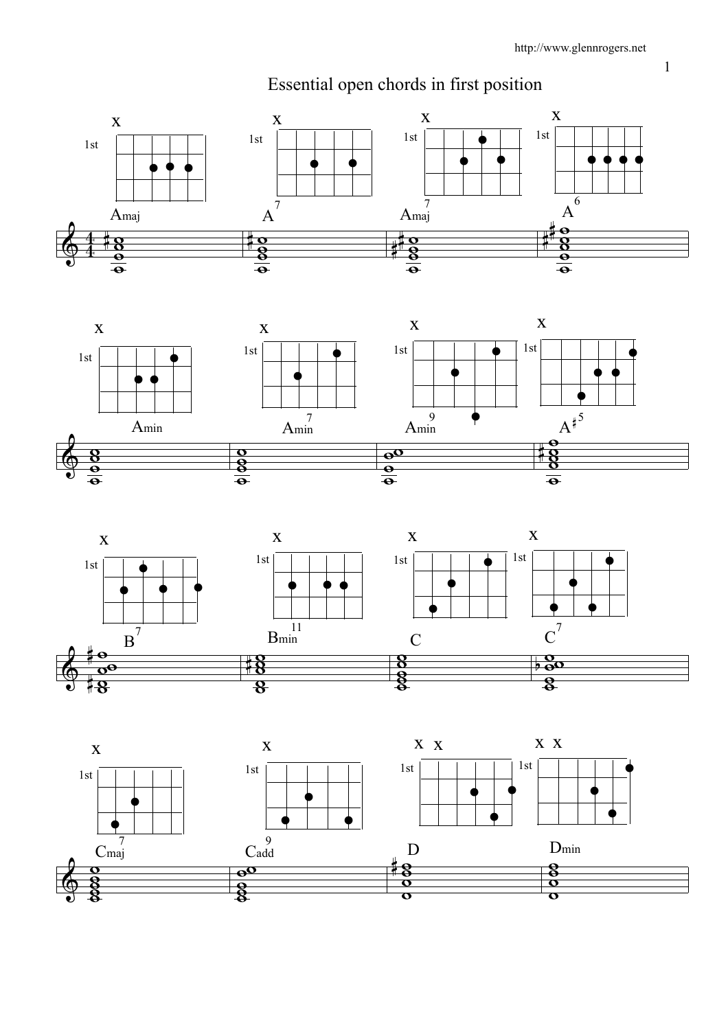





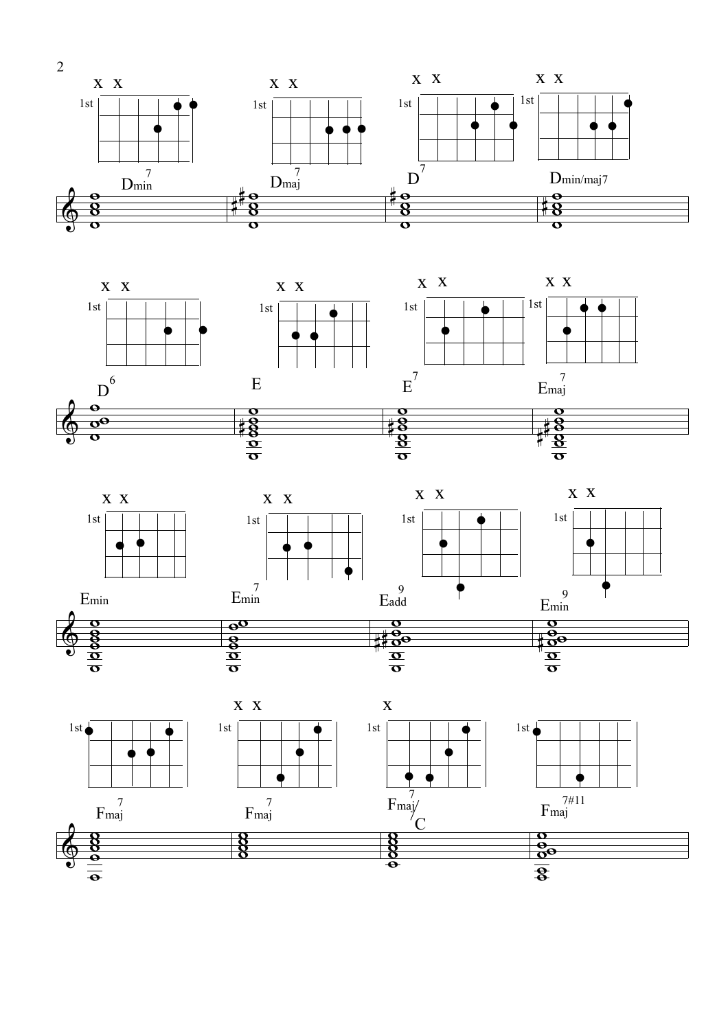